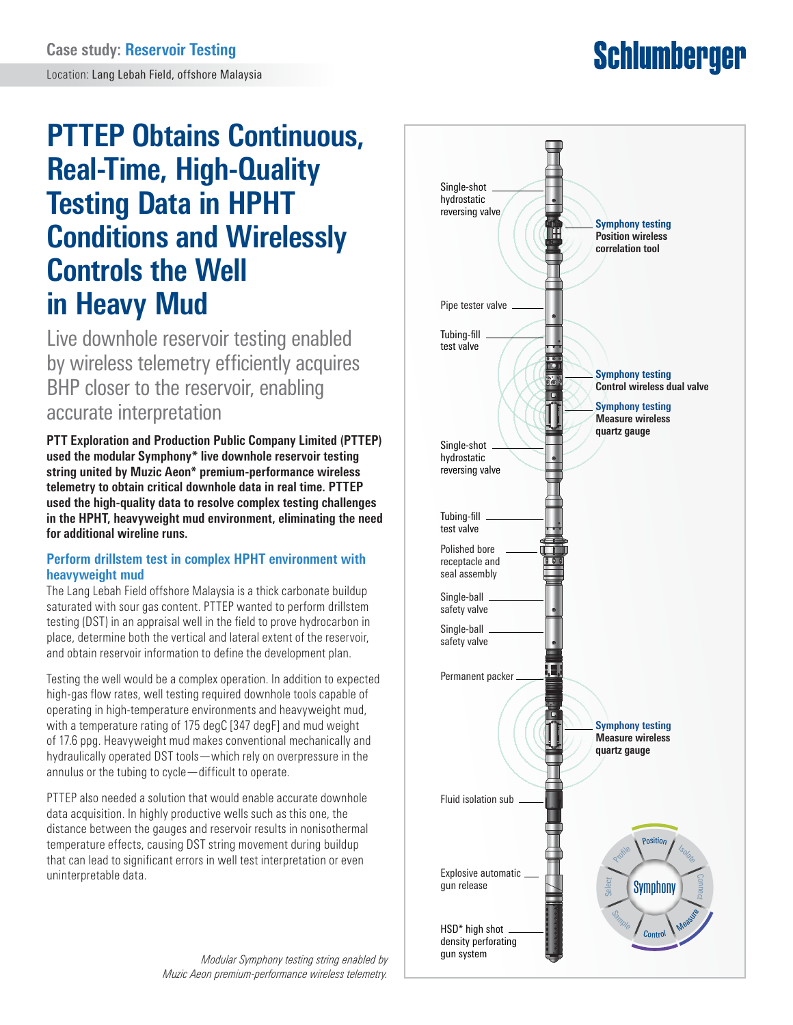# **Schlumberger**

## **PTTEP Obtains Continuous, Real-Time, High-Quality Testing Data in HPHT Conditions and Wirelessly Controls the Well in Heavy Mud**

Live downhole reservoir testing enabled by wireless telemetry efficiently acquires BHP closer to the reservoir, enabling accurate interpretation

**PTT Exploration and Production Public Company Limited (PTTEP) used the modular Symphony\* live downhole reservoir testing string united by Muzic Aeon\* premium-performance wireless telemetry to obtain critical downhole data in real time. PTTEP used the high-quality data to resolve complex testing challenges in the HPHT, heavyweight mud environment, eliminating the need for additional wireline runs.**

#### **Perform drillstem test in complex HPHT environment with heavyweight mud**

The Lang Lebah Field offshore Malaysia is a thick carbonate buildup saturated with sour gas content. PTTEP wanted to perform drillstem testing (DST) in an appraisal well in the field to prove hydrocarbon in place, determine both the vertical and lateral extent of the reservoir, and obtain reservoir information to define the development plan.

Testing the well would be a complex operation. In addition to expected high-gas flow rates, well testing required downhole tools capable of operating in high-temperature environments and heavyweight mud, with a temperature rating of 175 degC [347 degF] and mud weight of 17.6 ppg. Heavyweight mud makes conventional mechanically and hydraulically operated DST tools—which rely on overpressure in the annulus or the tubing to cycle—difficult to operate.

PTTEP also needed a solution that would enable accurate downhole data acquisition. In highly productive wells such as this one, the distance between the gauges and reservoir results in nonisothermal temperature effects, causing DST string movement during buildup that can lead to significant errors in well test interpretation or even uninterpretable data.